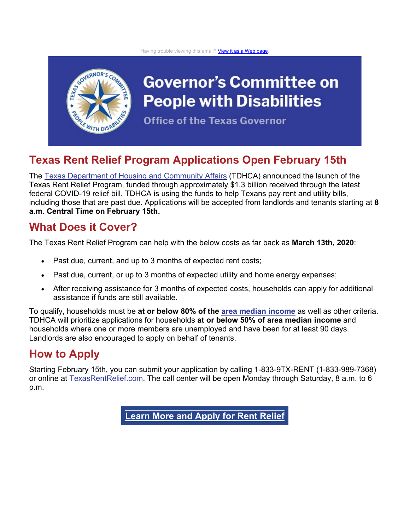

## **Governor's Committee on People with Disabilities**

**Office of the Texas Governor** 

## **Texas Rent Relief Program Applications Open February 15th**

The [Texas Department of Housing and Community Affairs](https://lnks.gd/l/eyJhbGciOiJIUzI1NiJ9.eyJidWxsZXRpbl9saW5rX2lkIjoxMDEsInVyaSI6ImJwMjpjbGljayIsImJ1bGxldGluX2lkIjoiMjAyMTAyMDkuMzQ5MDkwODEiLCJ1cmwiOiJodHRwczovL3d3dy50ZGhjYS5zdGF0ZS50eC51cy8ifQ.ot_aqVGQS4fpAOhHpqCQ-J_D0lzKy6D85X-xiEKigKI/s/599694481/br/97269195862-l) (TDHCA) announced the launch of the Texas Rent Relief Program, funded through approximately \$1.3 billion received through the latest federal COVID-19 relief bill. TDHCA is using the funds to help Texans pay rent and utility bills, including those that are past due. Applications will be accepted from landlords and tenants starting at **8 a.m. Central Time on February 15th.**

## **What Does it Cover?**

The Texas Rent Relief Program can help with the below costs as far back as **March 13th, 2020**:

- Past due, current, and up to 3 months of expected rent costs;
- Past due, current, or up to 3 months of expected utility and home energy expenses;
- After receiving assistance for 3 months of expected costs, households can apply for additional assistance if funds are still available.

To qualify, households must be **at or below 80% of the [area median income](https://lnks.gd/l/eyJhbGciOiJIUzI1NiJ9.eyJidWxsZXRpbl9saW5rX2lkIjoxMDIsInVyaSI6ImJwMjpjbGljayIsImJ1bGxldGluX2lkIjoiMjAyMTAyMDkuMzQ5MDkwODEiLCJ1cmwiOiJodHRwczovL3RleGFzcmVudHJlbGllZi5jb20vc2l0ZXMvZGVmYXVsdC9maWxlcy9UWF9SZW50X1JlbGllZl9pbmNvbWVfbGltaXRzLnBkZiJ9.C6lE3ekAH1YrqDFLcYrVlsqmKlkaCT8_QhSt6U6SfZg/s/599694481/br/97269195862-l)** as well as other criteria. TDHCA will prioritize applications for households **at or below 50% of area median income** and households where one or more members are unemployed and have been for at least 90 days. Landlords are also encouraged to apply on behalf of tenants.

## **How to Apply**

Starting February 15th, you can submit your application by calling 1-833-9TX-RENT (1-833-989-7368) or online at **TexasRentRelief.com.** The call center will be open Monday through Saturday, 8 a.m. to 6 p.m.

**Learn More and [Apply](https://lnks.gd/l/eyJhbGciOiJIUzI1NiJ9.eyJidWxsZXRpbl9saW5rX2lkIjoxMDQsInVyaSI6ImJwMjpjbGljayIsImJ1bGxldGluX2lkIjoiMjAyMTAyMDkuMzQ5MDkwODEiLCJ1cmwiOiJodHRwczovL3RleGFzcmVudHJlbGllZi5jb20vIn0.zz6iiWEtrlU1lw9avMZjDfMv4AIYmjlo8ctRUUwDOFA/s/599694481/br/97269195862-l) for Rent Relief**